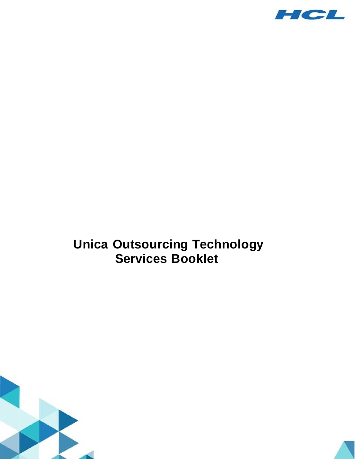

## **Unica Outsourcing Technology Services Booklet**



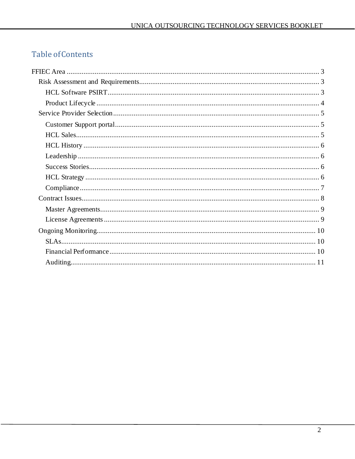## **Table of Contents**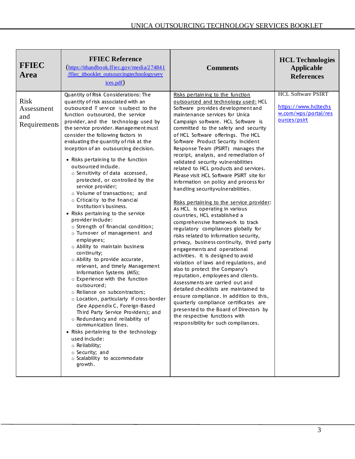| <b>FFIEC</b><br><b>Area</b>                      | <b>FFIEC Reference</b><br>$(\frac{https://ithandbook.ffiec.gov/media/274841}{https://ithandbook.ffiec.gov/media/274841})$<br>ffiec itbooklet outsourcingtechnologyserv<br>ices.pdf)                                                                                                                                                                                                                                                                                                                                                                                                                                                                                                                                                                                                                                                                                                                                                                                                                                                                                                                                                                                                                                                                                                                                                    | <b>Comments</b>                                                                                                                                                                                                                                                                                                                                                                                                                                                                                                                                                                                                                                                                                                                                                                                                                                                                                                                                                                                                                                                                                                                                                                                                                                                                                                                                            | <b>HCL Technologies</b><br><b>Applicable</b><br><b>References</b>                         |
|--------------------------------------------------|----------------------------------------------------------------------------------------------------------------------------------------------------------------------------------------------------------------------------------------------------------------------------------------------------------------------------------------------------------------------------------------------------------------------------------------------------------------------------------------------------------------------------------------------------------------------------------------------------------------------------------------------------------------------------------------------------------------------------------------------------------------------------------------------------------------------------------------------------------------------------------------------------------------------------------------------------------------------------------------------------------------------------------------------------------------------------------------------------------------------------------------------------------------------------------------------------------------------------------------------------------------------------------------------------------------------------------------|------------------------------------------------------------------------------------------------------------------------------------------------------------------------------------------------------------------------------------------------------------------------------------------------------------------------------------------------------------------------------------------------------------------------------------------------------------------------------------------------------------------------------------------------------------------------------------------------------------------------------------------------------------------------------------------------------------------------------------------------------------------------------------------------------------------------------------------------------------------------------------------------------------------------------------------------------------------------------------------------------------------------------------------------------------------------------------------------------------------------------------------------------------------------------------------------------------------------------------------------------------------------------------------------------------------------------------------------------------|-------------------------------------------------------------------------------------------|
| <b>Risk</b><br>Assessment<br>and<br>Requirements | Quantity of Risk Considerations: The<br>quantity of risk associated with an<br>outsourced IT service is subject to the<br>function outsourced, the service<br>provider, and the technology used by<br>the service provider. Management must<br>consider the following factors in<br>evaluating the quantity of risk at the<br>inception of an outsourcing decision.<br>• Risks pertaining to the function<br>outsourced include.<br>o Sensitivity of data accessed,<br>protected, or controlled by the<br>service provider;<br>o Volume of transactions; and<br>o Criticality to the financial<br>institution's business.<br>• Risks pertaining to the service<br>provider include:<br>o Strength of financial condition;<br>o Turnover of management and<br>employees;<br>o Ability to maintain business<br>continuity;<br>o Ability to provide accurate,<br>relevant, and timely Management<br>Information Systems (MIS);<br>o Experience with the function<br>outsourced;<br>o Reliance on subcontractors;<br>o Location, particularly if cross-border<br>(See Appendix C, Foreign-Based<br>Third Party Service Providers); and<br>o Redundancy and reliability of<br>communication lines.<br>• Risks pertaining to the technology<br>used include:<br>o Reliability;<br>o Security; and<br>o Scalability to accommodate<br>growth. | Risks pertaining to the function<br>outsourced and technology used: HCL<br>Software provides development and<br>maintenance services for Unica<br>Campaign software. HCL Software is<br>committed to the safety and security<br>of HCL Software offerings. The HCL<br>Software Product Security Incident<br>Response Team (PSIRT) manages the<br>receipt, analysis, and remediation of<br>validated security vulnerabilities<br>related to HCL products and services.<br>Please visit HCL Software PSIRT site for<br>information on policy and process for<br>handling securityvulnerabilities.<br>Risks pertaining to the service provider:<br>As HCL is operating in various<br>countries, HCL established a<br>comprehensive framework to track<br>regulatory compliances globally for<br>risks related to information security,<br>privacy, business continuity, third party<br>engagements and operational<br>activities. It is designed to avoid<br>violation of laws and regulations, and<br>also to protect the Company's<br>reputation, employees and clients.<br>Assessments are carried out and<br>detailed checklists are maintained to<br>ensure compliance. In addition to this,<br>quarterly compliance certificates are<br>presented to the Board of Directors by<br>the respective functions with<br>responsibility for such compliances. | <b>HCL Software PSIRT</b><br>https://www.hcltechs<br>w.com/wps/portal/res<br>ources/psirt |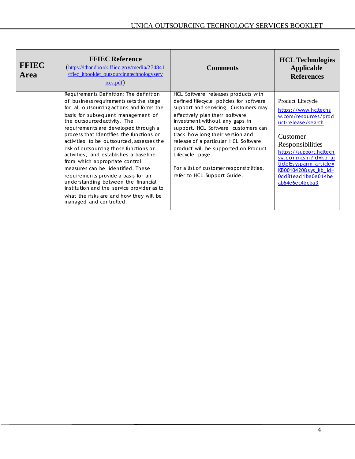| <b>FFIEC</b><br><b>Area</b> | <b>FFIEC Reference</b><br>$(\frac{https://ithandbook.ffiec.gov/media/274841}{https://ithandbook.ffiec.gov/media/274841})$<br><b>ffiec</b> itbooklet outsourcingtechnologyserv<br>$i$ ces.pdf)                                                                                                                                                                                                                                                                                                                                                                                                                                                                                                       | <b>Comments</b>                                                                                                                                                                                                                                                                                                                                                                                                                                      | <b>HCL Technologies</b><br><b>Applicable</b><br><b>References</b>                                                                                                                                                                                                   |
|-----------------------------|-----------------------------------------------------------------------------------------------------------------------------------------------------------------------------------------------------------------------------------------------------------------------------------------------------------------------------------------------------------------------------------------------------------------------------------------------------------------------------------------------------------------------------------------------------------------------------------------------------------------------------------------------------------------------------------------------------|------------------------------------------------------------------------------------------------------------------------------------------------------------------------------------------------------------------------------------------------------------------------------------------------------------------------------------------------------------------------------------------------------------------------------------------------------|---------------------------------------------------------------------------------------------------------------------------------------------------------------------------------------------------------------------------------------------------------------------|
|                             | Requirements Definition: The definition<br>of business requirements sets the stage<br>for all outsourcing actions and forms the<br>basis for subsequent management of<br>the outsourced activity. The<br>requirements are developed through a<br>process that identifies the functions or<br>activities to be outsourced, assesses the<br>risk of outsourcing those functions or<br>activities, and establishes a baseline<br>from which appropriate control<br>measures can be identified. These<br>requirements provide a basis for an<br>understanding between the financial<br>institution and the service provider as to<br>what the risks are and how they will be<br>managed and controlled. | HCL Software releases products with<br>defined lifecycle policies for software<br>support and servicing. Customers may<br>effectively plan their software<br>investment without any gaps in<br>support. HCL Software customers can<br>track how long their version and<br>release of a particular HCL Software<br>product will be supported on Product<br>Lifecycle page.<br>For a list of customer responsibilities,<br>refer to HCL Support Guide. | Product Lifecycle<br>https://www.hcltechs<br>w.com/resources/prod<br>uct-release/search<br>Customer<br>Responsibilities<br>https://support.hcltech<br>sw.com/csm?id=kb ar<br>ticle&sysparm_article=<br>KB0010420&sys_kb_id=<br>Odd81ead1be0e014be<br>ab64e6ec4bcba3 |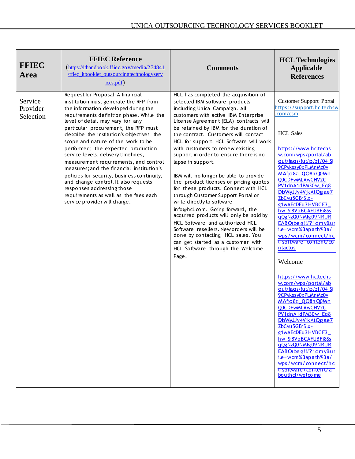| <b>FFIEC</b><br>Area             | <b>FFIEC Reference</b><br>$(\frac{https://ithandbook.ffiec.gov/media/274841}{https://ithandbook.ffiec.gov/media/274841})$<br>/ffiec itbooklet outsourcingtechnologyserv<br>ices.pdf)                                                                                                                                                                                                                                                                                                                                                                                                                                                                                                              | <b>Comments</b>                                                                                                                                                                                                                                                                                                                                                                                                                                                                                                                                                                                                                                                                                                                                                                                                                                                                                              | <b>HCL Technologies</b><br><b>Applicable</b><br><b>References</b>                                                                                                                                                                                                                                                                                                                                                                                                                                                                                                                                                                                                                                                                                                                                                                                                       |
|----------------------------------|---------------------------------------------------------------------------------------------------------------------------------------------------------------------------------------------------------------------------------------------------------------------------------------------------------------------------------------------------------------------------------------------------------------------------------------------------------------------------------------------------------------------------------------------------------------------------------------------------------------------------------------------------------------------------------------------------|--------------------------------------------------------------------------------------------------------------------------------------------------------------------------------------------------------------------------------------------------------------------------------------------------------------------------------------------------------------------------------------------------------------------------------------------------------------------------------------------------------------------------------------------------------------------------------------------------------------------------------------------------------------------------------------------------------------------------------------------------------------------------------------------------------------------------------------------------------------------------------------------------------------|-------------------------------------------------------------------------------------------------------------------------------------------------------------------------------------------------------------------------------------------------------------------------------------------------------------------------------------------------------------------------------------------------------------------------------------------------------------------------------------------------------------------------------------------------------------------------------------------------------------------------------------------------------------------------------------------------------------------------------------------------------------------------------------------------------------------------------------------------------------------------|
| Service<br>Provider<br>Selection | Request for Proposal: A financial<br>institution must generate the RFP from<br>the information developed during the<br>requirements definition phase. While the<br>level of detail may vary for any<br>particular procurement, the RFP must<br>describe the institution's objectives; the<br>scope and nature of the work to be<br>performed; the expected production<br>service levels, delivery timelines,<br>measurement requirements, and control<br>measures; and the financial institution's<br>policies for security, business continuity,<br>and change control. It also requests<br>responses addressing those<br>requirements as well as the fees each<br>service provider will charge. | HCL has completed the acquisition of<br>selected IBM software products<br>including Unica Campaign. All<br>customers with active IBM Enterprise<br>License Agreement (ELA) contracts will<br>be retained by IBM for the duration of<br>the contract. Customers will contact<br>HCL for support. HCL Software will work<br>with customers to renew existing<br>support in order to ensure there is no<br>lapse in support.<br>IBM will no longer be able to provide<br>the product licenses or pricing quotes<br>for these products. Connect with HCL<br>through Customer Support Portal or<br>write directly to software-<br>info@hcl.com. Going forward, the<br>acquired products will only be sold by<br>HCL Software and authorized HCL<br>Software resellers. New orders will be<br>done by contacting HCL sales. You<br>can get started as a customer with<br>HCL Software through the Welcome<br>Page. | <b>Customer Support Portal</b><br>https://support.hcltechsw<br>com/cm<br><b>HCL Sales</b><br>https://www.hcltechs<br>w.com/wps/portal/ab<br>out/fags/lut/p/z1/04 Sj<br>9CPykssy0xPLMnMz0v<br>MAfljo8zi_QO8n Q0Mn<br>QOCDFwMLAwCHV2C<br>PV1dnA1dPM30w Eq8<br>DbWyJJv4VikAtQgae7<br>ZbCvu5GBiSlx-<br>g1wAEcDEu3HVBCF3<br>hw_Si8VoBCAFUBFi8Ss<br>gQgNzQ0NMlg09NRUR<br>EABOrbe g!!/?1dmy&ur<br>ile=wcm%3apath%3a/<br>wps/wcm/connect/hc<br>t+software+content/co<br>ntactus<br>Welcome<br>https://www.hcltechs<br>w.com/wps/portal/ab<br>out/fags/lut/p/z1/04_Sj<br>9CPykssy0xPLMnMz0v<br>MAfljo8zi_QO8n Q0Mn<br>OOCDFWMLAWCHV2C<br>PV1dnA1dPM30w_Eq8<br>DbWyJJv4VjkAtQgae7<br>ZbCvu5GBiSlx-<br>g1wAEcDEu3HVBCF3<br>hw_Si8VoBCAFUBFi8Ss<br>gQgNzQ0NMlg09NRUR<br>EABOrbe g!!/?1dmy&ur<br>ile=wcm%3apath%3a/<br>wps/wcm/connect/hc<br>t+software+content/a<br>bouthcl/welcome |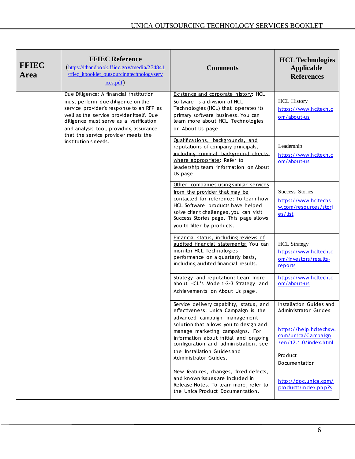| <b>FFIEC</b><br><b>Area</b> | <b>FFIEC Reference</b><br>$(\frac{https://ithandbook.ffiec.gov/media/274841}{https://ithandbook.ffiec.gov/media/274841})$<br>ffiec itbooklet outsourcingtechnologyserv<br>ices.pdf)                                                                                                                                    | <b>Comments</b>                                                                                                                                                                                                                                                                                                                         | <b>HCL Technologies</b><br>Applicable<br><b>References</b>                                                                                            |
|-----------------------------|------------------------------------------------------------------------------------------------------------------------------------------------------------------------------------------------------------------------------------------------------------------------------------------------------------------------|-----------------------------------------------------------------------------------------------------------------------------------------------------------------------------------------------------------------------------------------------------------------------------------------------------------------------------------------|-------------------------------------------------------------------------------------------------------------------------------------------------------|
|                             | Due Diligence: A financial institution<br>must perform due diligence on the<br>service provider's response to an RFP as<br>well as the service provider itself. Due<br>diligence must serve as a verification<br>and analysis tool, providing assurance<br>that the service provider meets the<br>institution's needs. | Existence and corporate history: HCL<br>Software is a division of HCL<br>Technologies (HCL) that operates its<br>primary software business. You can<br>learn more about HCL Technologies<br>on About Us page.                                                                                                                           | <b>HCL History</b><br>https://www.hcltech.c<br>om/about-us                                                                                            |
|                             |                                                                                                                                                                                                                                                                                                                        | Qualifications, backgrounds, and<br>reputations of company principals,<br>including criminal background checks<br>where appropriate: Refer to<br>leadership team information on About<br>Us page.                                                                                                                                       | Leadership<br>https://www.hcltech.c<br>om/about-us                                                                                                    |
|                             |                                                                                                                                                                                                                                                                                                                        | Other companies using similar services<br>from the provider that may be<br>contacted for reference: To learn how<br>HCL Software products have helped<br>solve client challenges, you can visit<br>Success Stories page. This page allows<br>you to filter by products.                                                                 | <b>Success Stories</b><br>https://www.hcltechs<br>w.com/resources/stori<br>es/list                                                                    |
|                             |                                                                                                                                                                                                                                                                                                                        | Financial status, including reviews of<br>audited financial statements: You can<br>monitor HCL Technologies'<br>performance on a quarterly basis,<br>including audited financial results.                                                                                                                                               | <b>HCL</b> Strategy<br>https://www.hcltech.c<br>om/investors/results-<br>reports                                                                      |
|                             |                                                                                                                                                                                                                                                                                                                        | Strategy and reputation: Learn more<br>about HCL's Mode 1-2-3 Strategy and<br>Achievements on About Us page.                                                                                                                                                                                                                            | https://www.hcltech.c<br>om/about-us                                                                                                                  |
|                             |                                                                                                                                                                                                                                                                                                                        | Service delivery capability, status, and<br>effectiveness: Unica Campaign is the<br>advanced campaign management<br>solution that allows you to design and<br>manage marketing campaigns. For<br>information about initial and ongoing<br>configuration and administration, see<br>the Installation Guides and<br>Administrator Guides. | Installation Guides and<br>Administrator Guides<br>https://help.hcltechsw.<br>com/unica/Campaign<br>/en/12.1.0/index.html<br>Product<br>Documentation |
|                             |                                                                                                                                                                                                                                                                                                                        | New features, changes, fixed defects,<br>and known issues are included in<br>Release Notes. To learn more, refer to<br>the Unica Product Documentation.                                                                                                                                                                                 | http://doc.unica.com/<br>products/index.php?s                                                                                                         |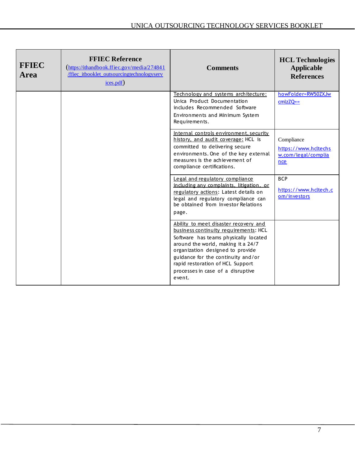| <b>FFIEC</b><br><b>Area</b> | <b>FFIEC Reference</b><br>(https://ithandbook.ffiec.gov/media/274841<br>/ffiec itbooklet outsourcingtechnologyserv<br>ices.pdf) | <b>Comments</b>                                                                                                                                                                                                                                                                                                            | <b>HCL Technologies</b><br><b>Applicable</b><br><b>References</b>       |
|-----------------------------|---------------------------------------------------------------------------------------------------------------------------------|----------------------------------------------------------------------------------------------------------------------------------------------------------------------------------------------------------------------------------------------------------------------------------------------------------------------------|-------------------------------------------------------------------------|
|                             |                                                                                                                                 | Technology and systems architecture:<br>Unica Product Documentation<br>includes Recommended Software<br>Environments and Minimum System<br>Requirements.                                                                                                                                                                   | howFolder=RW50ZXJw<br>$cmIzZQ ==$                                       |
|                             |                                                                                                                                 | Internal controls environment, security<br>history, and audit coverage: HCL is<br>committed to delivering secure<br>environments. One of the key external<br>measures is the achievement of<br>compliance certifications.                                                                                                  | Compliance<br>https://www.hcltechs<br>w.com/legal/complia<br><b>nce</b> |
|                             |                                                                                                                                 | Legal and regulatory compliance<br>including any complaints, litigation, or<br>regulatory actions: Latest details on<br>legal and regulatory compliance can<br>be obtained from Investor Relations<br>page.                                                                                                                | <b>BCP</b><br>https://www.hcltech.c<br>om/investors                     |
|                             |                                                                                                                                 | Ability to meet disaster recovery and<br>business continuity requirements: HCL<br>Software has teams physically located<br>around the world, making it a 24/7<br>organization designed to provide<br>guidance for the continuity and/or<br>rapid restoration of HCL Support<br>processes in case of a disruptive<br>event. |                                                                         |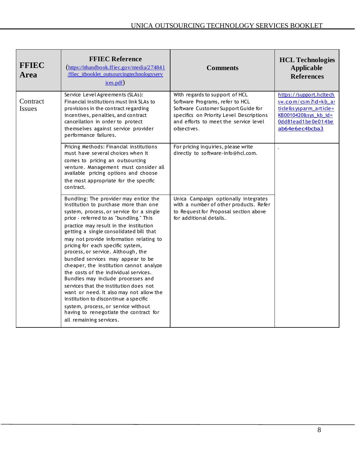| <b>FFIEC</b><br><b>Area</b> | <b>FFIEC Reference</b><br>$(\text{https://ithandbook.ffiec.gov/media/274841})$<br>/ffiec itbooklet outsourcingtechnologyserv<br>$i$ ces.pdf)                                                                                                                                                                                                                                                                                                                                                                                                                                                                                                                                                                                                                                             | <b>Comments</b>                                                                                                                                                                                               | <b>HCL Technologies</b><br><b>Applicable</b><br><b>References</b>                                                                        |
|-----------------------------|------------------------------------------------------------------------------------------------------------------------------------------------------------------------------------------------------------------------------------------------------------------------------------------------------------------------------------------------------------------------------------------------------------------------------------------------------------------------------------------------------------------------------------------------------------------------------------------------------------------------------------------------------------------------------------------------------------------------------------------------------------------------------------------|---------------------------------------------------------------------------------------------------------------------------------------------------------------------------------------------------------------|------------------------------------------------------------------------------------------------------------------------------------------|
| Contract<br><b>Issues</b>   | Service Level Agreements (SLAs):<br>Financial institutions must link SLAs to<br>provisions in the contract regarding<br>incentives, penalties, and contract<br>cancellation in order to protect<br>themselves against service provider<br>performance failures.                                                                                                                                                                                                                                                                                                                                                                                                                                                                                                                          | With regards to support of HCL<br>Software Programs, refer to HCL<br>Software Customer Support Guide for<br>specifics on Priority Level Descriptions<br>and efforts to meet the service level<br>o biectives. | https://support.hcltech<br>sw.com/csm?id=kb_ar<br>ticle&sysparm_article=<br>KB0010420&sys_kb_id=<br>Odd81ead1be0e014be<br>ab64e6ec4bcba3 |
|                             | Pricing Methods: Financial institutions<br>must have several choices when it<br>comes to pricing an outsourcing<br>venture. Management must consider all<br>available pricing options and choose<br>the most appropriate for the specific<br>contract.                                                                                                                                                                                                                                                                                                                                                                                                                                                                                                                                   | For pricing inquiries, please write<br>directly to software-info@hcl.com.                                                                                                                                     | $\blacksquare$                                                                                                                           |
|                             | Bundling: The provider may entice the<br>institution to purchase more than one<br>system, process, or service for a single<br>price - referred to as "bundling." This<br>practice may result in the institution<br>getting a single consolidated bill that<br>may not provide information relating to<br>pricing for each specific system,<br>process, or service. Although, the<br>bundled services may appear to be<br>cheaper, the institution cannot analyze<br>the costs of the individual services.<br>Bundles may include processes and<br>services that the institution does not<br>want or need. It also may not allow the<br>institution to discontinue a specific<br>system, process, or service without<br>having to renegotiate the contract for<br>all remaining services. | Unica Campaign optionally integrates<br>with a number of other products. Refer<br>to Request for Proposal section above<br>for additional details.                                                            |                                                                                                                                          |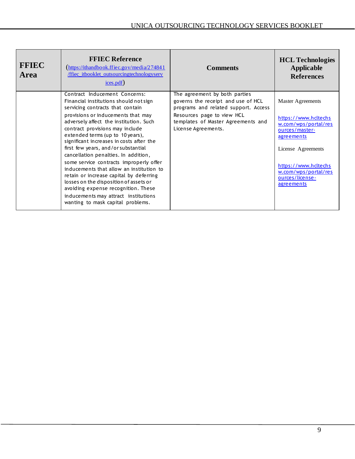| <b>FFIEC</b><br><b>Area</b> | <b>FFIEC Reference</b><br>$(\frac{https://ithandbook.ffiec.gov/media/274841}{https://ithandbook.ffiec.gov/media/274841})$<br>ffiec itbooklet outsourcingtechnologyserv<br>$i$ ces.pdf)                                                                                                                                                                                                                                                                                                                                                                                                                                                                                                        | <b>Comments</b>                                                                                                                                                                                        | <b>HCL Technologies</b><br><b>Applicable</b><br><b>References</b>                                                                                                                                        |
|-----------------------------|-----------------------------------------------------------------------------------------------------------------------------------------------------------------------------------------------------------------------------------------------------------------------------------------------------------------------------------------------------------------------------------------------------------------------------------------------------------------------------------------------------------------------------------------------------------------------------------------------------------------------------------------------------------------------------------------------|--------------------------------------------------------------------------------------------------------------------------------------------------------------------------------------------------------|----------------------------------------------------------------------------------------------------------------------------------------------------------------------------------------------------------|
|                             | Contract Inducement Concerns:<br>Financial institutions should not sign<br>servicing contracts that contain<br>provisions or inducements that may<br>adversely affect the institution. Such<br>contract provisions may include<br>extended terms (up to 10 years),<br>significant increases in costs after the<br>first few years, and/or substantial<br>cancellation penalties. In addition,<br>some service contracts improperly offer<br>inducements that allow an institution to<br>retain or increase capital by deferring<br>losses on the disposition of assets or<br>avoiding expense recognition. These<br>inducements may attract institutions<br>wanting to mask capital problems. | The agreement by both parties<br>governs the receipt and use of HCL<br>programs and related support. Access<br>Resources page to view HCL<br>templates of Master Agreements and<br>License Agreements. | Master Agreements<br>https://www.hcltechs<br>w.com/wps/portal/res<br>ources/master-<br>agreements<br>License Agreements<br>https://www.hcltechs<br>w.com/wps/portal/res<br>ources/license-<br>agreements |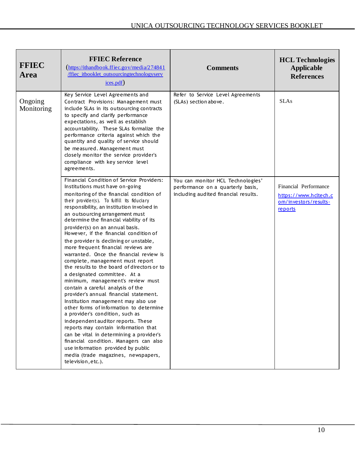| <b>FFIEC</b><br><b>Area</b> | <b>FFIEC Reference</b><br>$(\frac{https://ithandbook.ffiec.gov/media/274841}{https://ithandbook.ffiec.gov/media/274841})$<br>ffiec itbooklet outsourcingtechnologyserv<br>$i$ ces.pdf)                                                                                                                                                                                                                                                                                                                                                                                                                                                                                                                                                                                                                                                                                                                                                                                                                                                                                                                                                           | <b>Comments</b>                                                                                                | <b>HCL Technologies</b><br>Applicable<br><b>References</b>                         |
|-----------------------------|--------------------------------------------------------------------------------------------------------------------------------------------------------------------------------------------------------------------------------------------------------------------------------------------------------------------------------------------------------------------------------------------------------------------------------------------------------------------------------------------------------------------------------------------------------------------------------------------------------------------------------------------------------------------------------------------------------------------------------------------------------------------------------------------------------------------------------------------------------------------------------------------------------------------------------------------------------------------------------------------------------------------------------------------------------------------------------------------------------------------------------------------------|----------------------------------------------------------------------------------------------------------------|------------------------------------------------------------------------------------|
| Ongoing<br>Monitoring       | Key Service Level Agreements and<br>Contract Provisions: Management must<br>include SLAs in its outsourcing contracts<br>to specify and clarify performance<br>expectations, as well as establish<br>accountability. These SLAs formalize the<br>performance criteria against which the<br>quantity and quality of service should<br>be measured. Management must<br>closely monitor the service provider's<br>compliance with key service level<br>agreements.                                                                                                                                                                                                                                                                                                                                                                                                                                                                                                                                                                                                                                                                                  | Refer to Service Level Agreements<br>(SLAs) section above.                                                     | <b>SLAs</b>                                                                        |
|                             | Financial Condition of Service Providers:<br>Institutions must have on-going<br>monitoring of the financial condition of<br>their provider(s). To fulfill its fiduciary<br>responsibility, an institution involved in<br>an outsourcing arrangement must<br>determine the financial viability of its<br>provider(s) on an annual basis.<br>However, if the financial condition of<br>the provider is declining or unstable,<br>more frequent financial reviews are<br>warranted. Once the financial review is<br>complete, management must report<br>the results to the board of directors or to<br>a designated committee. At a<br>minimum, management's review must<br>contain a careful analysis of the<br>provider's annual financial statement.<br>Institution management may also use<br>other forms of information to determine<br>a provider's condition, such as<br>independent auditor reports. These<br>reports may contain information that<br>can be vital in determining a provider's<br>financial condition. Managers can also<br>use information provided by public<br>media (trade magazines, newspapers,<br>television, etc.). | You can monitor HCL Technologies'<br>performance on a quarterly basis,<br>including audited financial results. | Financial Performance<br>https://www.hcltech.c<br>om/investors/results-<br>reports |